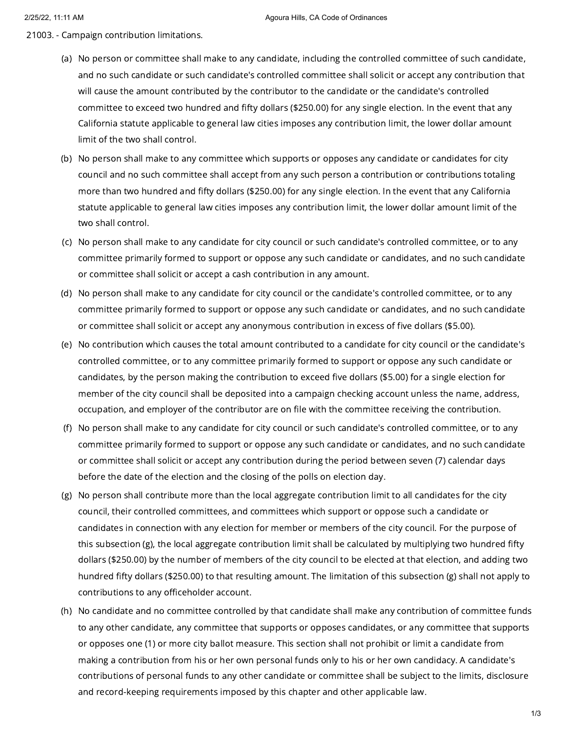- 21003. Campaign contribution limitations.
	- (a) No person or committee shall make to any candidate, including the controlled committee of such candidate, and no such candidate or such candidate's controlled committee shall solicit or accept any contribution that will cause the amount contributed by the contributor to the candidate or the candidate's controlled committee to exceed two hundred and fifty dollars (\$250.00) for any single election. In the event that any California statute applicable to general law cities imposes any contribution limit, the lower dollar amount limit of the two shall control.
	- (b) No person shall make to any committee which supports or opposes any candidate or candidates for city council and no such committee shall accept from any such person a contribution or contributions totaling more than two hundred and fifty dollars (\$250.00) for any single election. In the event that any California statute applicable to general law cities imposes any contribution limit, the lower dollar amount limit of the two shall control.
	- (c) No person shall make to any candidate for city council or such candidate's controlled committee, or to any committee primarily formed to support or oppose any such candidate or candidates, and no such candidate or committee shall solicit or accept a cash contribution in any amount.
	- (d) No person shall make to any candidate for city council or the candidate's controlled committee, or to any committee primarily formed to support or oppose any such candidate or candidates, and no such candidate or committee shall solicit or accept any anonymous contribution in excess of five dollars (\$5.00).
	- (e) No contribution which causes the total amount contributed to a candidate for city council or the candidate's controlled committee, or to any committee primarily formed to support or oppose any such candidate or candidates, by the person making the contribution to exceed five dollars (\$5.00) for a single election for member of the city council shall be deposited into a campaign checking account unless the name, address, occupation, and employer of the contributor are on file with the committee receiving the contribution.
	- (f) No person shall make to any candidate for city council or such candidate's controlled committee, or to any committee primarily formed to support or oppose any such candidate or candidates, and no such candidate or committee shall solicit or accept any contribution during the period between seven (7) calendar days before the date of the election and the closing of the polls on election day.
	- (g) No person shall contribute more than the local aggregate contribution limit to all candidates for the city council, their controlled committees, and committees which support or oppose such a candidate or candidates in connection with any election for member or members of the city council. For the purpose of this subsection (g), the local aggregate contribution limit shall be calculated by multiplying two hundred fifty dollars (\$250.00) by the number of members of the city council to be elected at that election, and adding two hundred fifty dollars (\$250.00) to that resulting amount. The limitation of this subsection (g) shall not apply to contributions to any officeholder account.
	- (h) No candidate and no committee controlled by that candidate shall make any contribution of committee funds to any other candidate, any committee that supports or opposes candidates, or any committee that supports or opposes one (1) or more city ballot measure. This section shall not prohibit or limit a candidate from making a contribution from his or her own personal funds only to his or her own candidacy. A candidate's contributions of personal funds to any other candidate or committee shall be subject to the limits, disclosure and record-keeping requirements imposed by this chapter and other applicable law.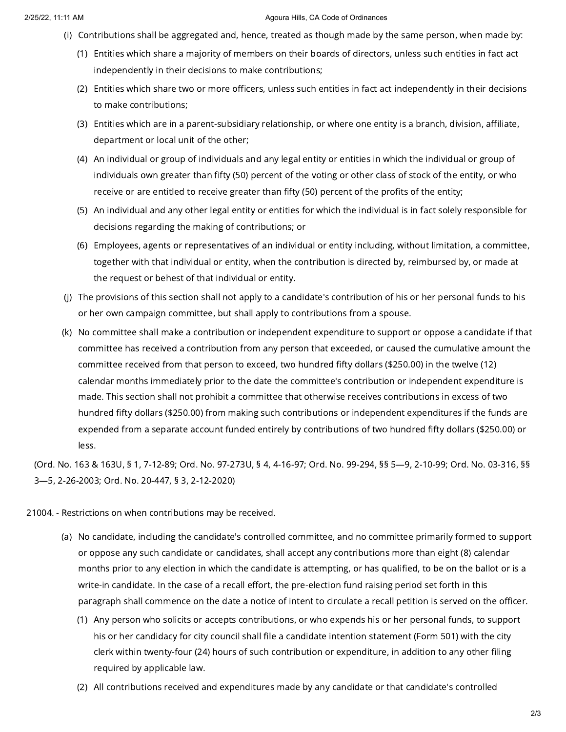## 2/25/22, 11:11 AM Agoura Hills, CA Code of Ordinances

- (i) Contributions shall be aggregated and, hence, treated as though made by the same person, when made by:
	- (1) Entities which share a majority of members on their boards of directors, unless such entities in fact act independently in their decisions to make contributions;
	- (2) Entities which share two or more officers, unless such entities in fact act independently in their decisions to make contributions;
	- (3) Entities which are in a parent-subsidiary relationship, or where one entity is a branch, division, affiliate, department or local unit of the other;
	- (4) An individual or group of individuals and any legal entity or entities in which the individual or group of individuals own greater than fifty (50) percent of the voting or other class of stock of the entity, or who receive or are entitled to receive greater than fifty (50) percent of the profits of the entity;
	- (5) An individual and any other legal entity or entities for which the individual is in fact solely responsible for decisions regarding the making of contributions; or
	- (6) Employees, agents or representatives of an individual or entity including, without limitation, a committee, together with that individual or entity, when the contribution is directed by, reimbursed by, or made at the request or behest of that individual or entity.
- (j) The provisions of this section shall not apply to a candidate's contribution of his or her personal funds to his or her own campaign committee, but shall apply to contributions from a spouse.
- (k) No committee shall make a contribution or independent expenditure to support or oppose a candidate if that committee has received a contribution from any person that exceeded, or caused the cumulative amount the committee received from that person to exceed, two hundred fifty dollars (\$250.00) in the twelve (12) calendar months immediately prior to the date the committee's contribution or independent expenditure is made. This section shall not prohibit a committee that otherwise receives contributions in excess of two hundred fifty dollars (\$250.00) from making such contributions or independent expenditures if the funds are expended from a separate account funded entirely by contributions of two hundred fifty dollars (\$250.00) or less.

(Ord. No. 163 & 163U, § 1, 7-12-89; Ord. No. 97-273U, § 4, 4-16-97; Ord. No. 99-294, §§ 5—9, 2-10-99; Ord. No. 03-316, §§ 3—5, 2-26-2003; Ord. No. 20-447, § 3, 2-12-2020)

- 21004. Restrictions on when contributions may be received.
	- (a) No candidate, including the candidate's controlled committee, and no committee primarily formed to support or oppose any such candidate or candidates, shall accept any contributions more than eight (8) calendar months prior to any election in which the candidate is attempting, or has qualified, to be on the ballot or is a write-in candidate. In the case of a recall effort, the pre-election fund raising period set forth in this paragraph shall commence on the date a notice of intent to circulate a recall petition is served on the officer.
		- (1) Any person who solicits or accepts contributions, or who expends his or her personal funds, to support his or her candidacy for city council shall file a candidate intention statement (Form 501) with the city clerk within twenty-four (24) hours of such contribution or expenditure, in addition to any other filing required by applicable law.
		- (2) All contributions received and expenditures made by any candidate or that candidate's controlled